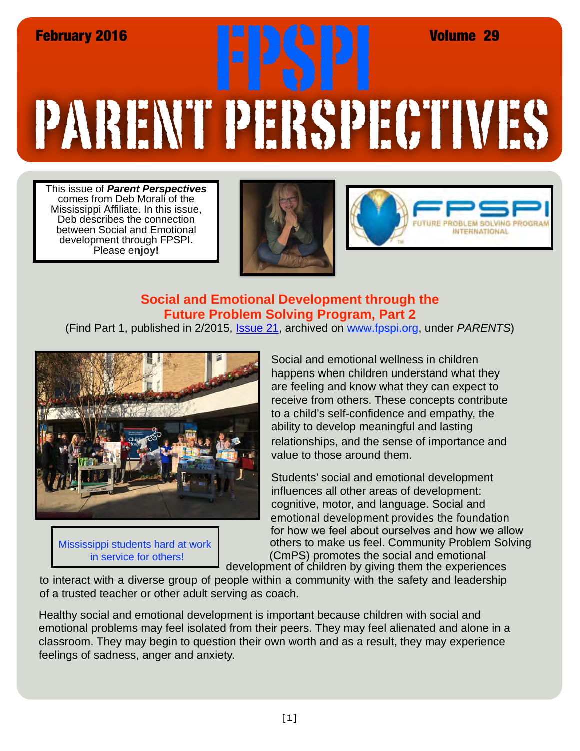# PARENT PERSPECTIVES February 2016 FPSPI Volume 29

This issue of *Parent Perspectives* comes from Deb Morali of the Mississippi Affiliate. In this issue, Deb describes the connection between Social and Emotional development through FPSPI. Please e**njoy!**





# **Social and Emotional Development through the Future Problem Solving Program, Part 2**

(Find Part 1, published in 2/2015, [Issue 21,](http://www.fpspi.org/pdf/parents/Parent Newsletter 21.pdf) archived on [www.fpspi.org](http://www.fpspi.org/newsletters.html), under *PARENTS*)



Mississippi students hard at work

Social and emotional wellness in children happens when children understand what they are feeling and know what they can expect to receive from others. These concepts contribute to a child's self-confidence and empathy, the ability to develop meaningful and lasting relationships, and the sense of importance and value to those around them.

Students' social and emotional development influences all other areas of development: cognitive, motor, and language. Social and emotional development provides the foundation for how we feel about ourselves and how we allow in service for others!  $\blacksquare$  (CmPS) promotes the social and emotional development of children by giving them the experiences others to make us feel. Community Problem Solving

to interact with a diverse group of people within a community with the safety and leadership of a trusted teacher or other adult serving as coach.

Healthy social and emotional development is important because children with social and emotional problems may feel isolated from their peers. They may feel alienated and alone in a classroom. They may begin to question their own worth and as a result, they may experience feelings of sadness, anger and anxiety.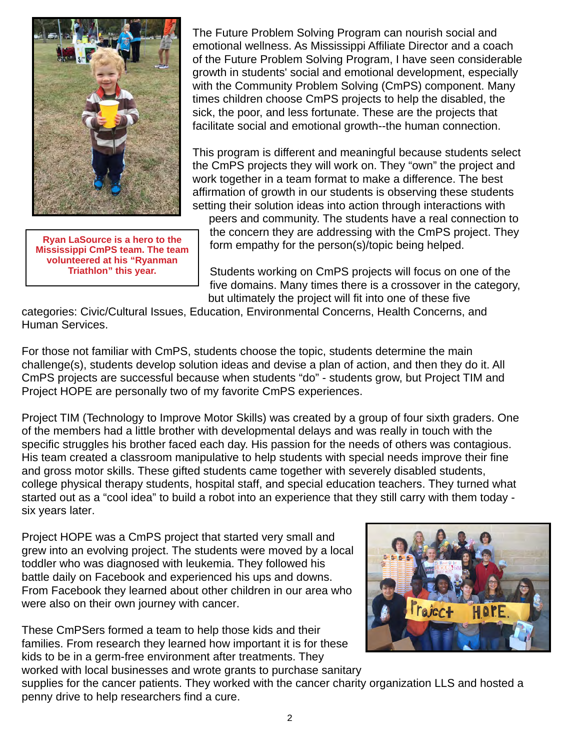

**Ryan LaSource is a hero to the Mississippi CmPS team. The team volunteered at his "Ryanman Triathlon" this year.**

The Future Problem Solving Program can nourish social and emotional wellness. As Mississippi Affiliate Director and a coach of the Future Problem Solving Program, I have seen considerable growth in students' social and emotional development, especially with the Community Problem Solving (CmPS) component. Many times children choose CmPS projects to help the disabled, the sick, the poor, and less fortunate. These are the projects that facilitate social and emotional growth--the human connection.

This program is different and meaningful because students select the CmPS projects they will work on. They "own" the project and work together in a team format to make a difference. The best affirmation of growth in our students is observing these students setting their solution ideas into action through interactions with

peers and community. The students have a real connection to the concern they are addressing with the CmPS project. They form empathy for the person(s)/topic being helped.

Students working on CmPS projects will focus on one of the five domains. Many times there is a crossover in the category, but ultimately the project will fit into one of these five

categories: Civic/Cultural Issues, Education, Environmental Concerns, Health Concerns, and Human Services.

For those not familiar with CmPS, students choose the topic, students determine the main challenge(s), students develop solution ideas and devise a plan of action, and then they do it. All CmPS projects are successful because when students "do" - students grow, but Project TIM and Project HOPE are personally two of my favorite CmPS experiences.

Project TIM (Technology to Improve Motor Skills) was created by a group of four sixth graders. One of the members had a little brother with developmental delays and was really in touch with the specific struggles his brother faced each day. His passion for the needs of others was contagious. His team created a classroom manipulative to help students with special needs improve their fine and gross motor skills. These gifted students came together with severely disabled students, college physical therapy students, hospital staff, and special education teachers. They turned what started out as a "cool idea" to build a robot into an experience that they still carry with them today six years later.

Project HOPE was a CmPS project that started very small and grew into an evolving project. The students were moved by a local toddler who was diagnosed with leukemia. They followed his battle daily on Facebook and experienced his ups and downs. From Facebook they learned about other children in our area who were also on their own journey with cancer.

These CmPSers formed a team to help those kids and their families. From research they learned how important it is for these kids to be in a germ-free environment after treatments. They worked with local businesses and wrote grants to purchase sanitary



supplies for the cancer patients. They worked with the cancer charity organization LLS and hosted a penny drive to help researchers find a cure.